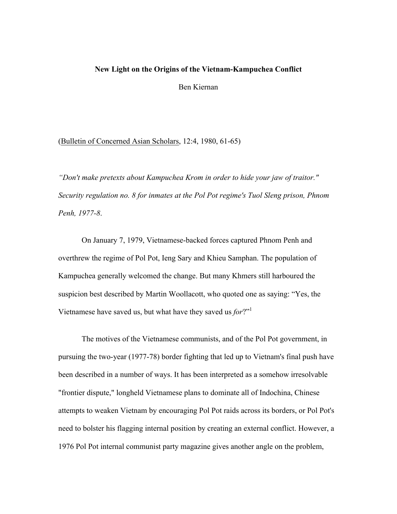#### **New Light on the Origins of the Vietnam-Kampuchea Conflict**

Ben Kiernan

(Bulletin of Concerned Asian Scholars, 12:4, 1980, 61-65)

*"Don't make pretexts about Kampuchea Krom in order to hide your jaw of traitor." Security regulation no. 8 for inmates at the Pol Pot regime's Tuol Sleng prison, Phnom Penh, 1977-8*.

On January 7, 1979, Vietnamese-backed forces captured Phnom Penh and overthrew the regime of Pol Pot, Ieng Sary and Khieu Samphan. The population of Kampuchea generally welcomed the change. But many Khmers still harboured the suspicion best described by Martin Woollacott, who quoted one as saying: "Yes, the Vietnamese have saved us, but what have they saved us *for*?"1

The motives of the Vietnamese communists, and of the Pol Pot government, in pursuing the two-year (1977-78) border fighting that led up to Vietnam's final push have been described in a number of ways. It has been interpreted as a somehow irresolvable "frontier dispute," longheld Vietnamese plans to dominate all of Indochina, Chinese attempts to weaken Vietnam by encouraging Pol Pot raids across its borders, or Pol Pot's need to bolster his flagging internal position by creating an external conflict. However, a 1976 Pol Pot internal communist party magazine gives another angle on the problem,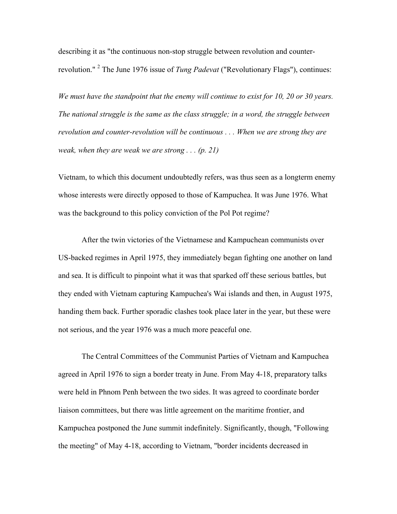describing it as "the continuous non-stop struggle between revolution and counterrevolution." <sup>2</sup> The June 1976 issue of *Tung Padevat* ("Revolutionary Flags"), continues:

*We must have the standpoint that the enemy will continue to exist for 10, 20 or 30 years. The national struggle is the same as the class struggle; in a word, the struggle between revolution and counter-revolution will be continuous . . . When we are strong they are weak, when they are weak we are strong . . . (p. 21)*

Vietnam, to which this document undoubtedly refers, was thus seen as a longterm enemy whose interests were directly opposed to those of Kampuchea. It was June 1976. What was the background to this policy conviction of the Pol Pot regime?

After the twin victories of the Vietnamese and Kampuchean communists over US-backed regimes in April 1975, they immediately began fighting one another on land and sea. It is difficult to pinpoint what it was that sparked off these serious battles, but they ended with Vietnam capturing Kampuchea's Wai islands and then, in August 1975, handing them back. Further sporadic clashes took place later in the year, but these were not serious, and the year 1976 was a much more peaceful one.

The Central Committees of the Communist Parties of Vietnam and Kampuchea agreed in April 1976 to sign a border treaty in June. From May 4-18, preparatory talks were held in Phnom Penh between the two sides. It was agreed to coordinate border liaison committees, but there was little agreement on the maritime frontier, and Kampuchea postponed the June summit indefinitely. Significantly, though, "Following the meeting" of May 4-18, according to Vietnam, "border incidents decreased in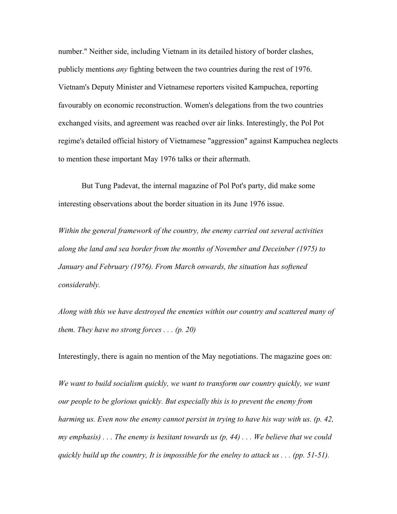number." Neither side, including Vietnam in its detailed history of border clashes, publicly mentions *any* fighting between the two countries during the rest of 1976. Vietnam's Deputy Minister and Vietnamese reporters visited Kampuchea, reporting favourably on economic reconstruction. Women's delegations from the two countries exchanged visits, and agreement was reached over air links. Interestingly, the Pol Pot regime's detailed official history of Vietnamese "aggression" against Kampuchea neglects to mention these important May 1976 talks or their aftermath.

But Tung Padevat, the internal magazine of Pol Pot's party, did make some interesting observations about the border situation in its June 1976 issue.

*Within the general framework of the country, the enemy carried out several activities along the land and sea border from the months of November and Deceinber (1975) to January and February (1976). From March onwards, the situation has softened considerably.*

*Along with this we have destroyed the enemies within our country and scattered many of them. They have no strong forces . . . (p. 20)*

Interestingly, there is again no mention of the May negotiations. The magazine goes on:

*We want to build socialism quickly, we want to transform our country quickly, we want our people to be glorious quickly. But especially this is to prevent the enemy from harming us. Even now the enemy cannot persist in trying to have his way with us. (p. 42, my emphasis) . . . The enemy is hesitant towards us (p, 44) . . . We believe that we could quickly build up the country, It is impossible for the enelny to attack us . . . (pp. 51-51).*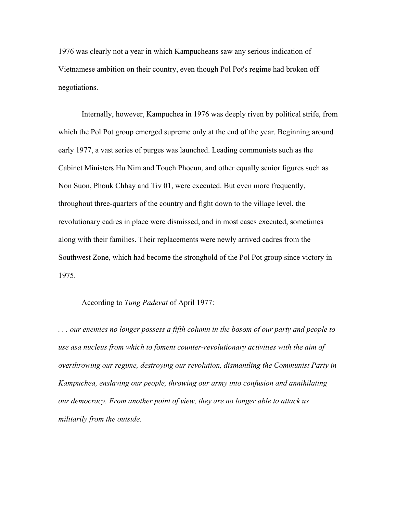1976 was clearly not a year in which Kampucheans saw any serious indication of Vietnamese ambition on their country, even though Pol Pot's regime had broken off negotiations.

Internally, however, Kampuchea in 1976 was deeply riven by political strife, from which the Pol Pot group emerged supreme only at the end of the year. Beginning around early 1977, a vast series of purges was launched. Leading communists such as the Cabinet Ministers Hu Nim and Touch Phocun, and other equally senior figures such as Non Suon, Phouk Chhay and Tiv 01, were executed. But even more frequently, throughout three-quarters of the country and fight down to the village level, the revolutionary cadres in place were dismissed, and in most cases executed, sometimes along with their families. Their replacements were newly arrived cadres from the Southwest Zone, which had become the stronghold of the Pol Pot group since victory in 1975.

## According to *Tung Padevat* of April 1977:

*. . . our enemies no longer possess a fifth column in the bosom of our party and people to use asa nucleus from which to foment counter-revolutionary activities with the aim of overthrowing our regime, destroying our revolution, dismantling the Communist Party in Kampuchea, enslaving our people, throwing our army into confusion and annihilating our democracy. From another point of view, they are no longer able to attack us militarily from the outside.*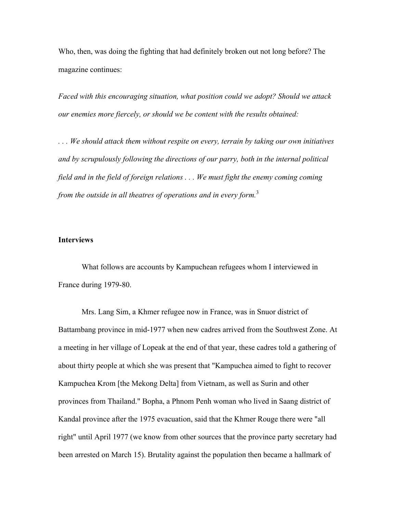Who, then, was doing the fighting that had definitely broken out not long before? The magazine continues:

*Faced with this encouraging situation, what position could we adopt? Should we attack our enemies more fiercely, or should we be content with the results obtained:*

*. . . We should attack them without respite on every, terrain by taking our own initiatives and by scrupulously following the directions of our parry, both in the internal political field and in the field of foreign relations . . . We must fight the enemy coming coming from the outside in all theatres of operations and in every form.* 3

## **Interviews**

What follows are accounts by Kampuchean refugees whom I interviewed in France during 1979-80.

Mrs. Lang Sim, a Khmer refugee now in France, was in Snuor district of Battambang province in mid-1977 when new cadres arrived from the Southwest Zone. At a meeting in her village of Lopeak at the end of that year, these cadres told a gathering of about thirty people at which she was present that "Kampuchea aimed to fight to recover Kampuchea Krom [the Mekong Delta] from Vietnam, as well as Surin and other provinces from Thailand." Bopha, a Phnom Penh woman who lived in Saang district of Kandal province after the 1975 evacuation, said that the Khmer Rouge there were "all right" until April 1977 (we know from other sources that the province party secretary had been arrested on March 15). Brutality against the population then became a hallmark of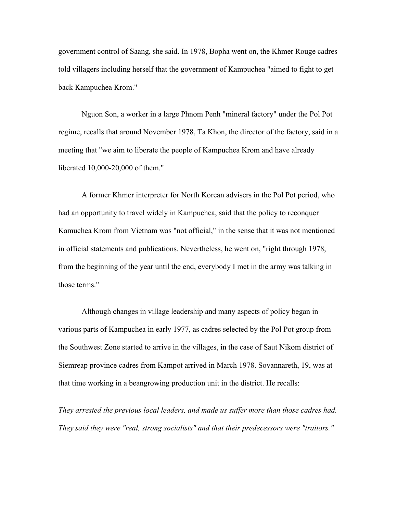government control of Saang, she said. In 1978, Bopha went on, the Khmer Rouge cadres told villagers including herself that the government of Kampuchea "aimed to fight to get back Kampuchea Krom."

Nguon Son, a worker in a large Phnom Penh "mineral factory" under the Pol Pot regime, recalls that around November 1978, Ta Khon, the director of the factory, said in a meeting that "we aim to liberate the people of Kampuchea Krom and have already liberated 10,000-20,000 of them."

A former Khmer interpreter for North Korean advisers in the Pol Pot period, who had an opportunity to travel widely in Kampuchea, said that the policy to reconquer Kamuchea Krom from Vietnam was "not official," in the sense that it was not mentioned in official statements and publications. Nevertheless, he went on, "right through 1978, from the beginning of the year until the end, everybody I met in the army was talking in those terms."

Although changes in village leadership and many aspects of policy began in various parts of Kampuchea in early 1977, as cadres selected by the Pol Pot group from the Southwest Zone started to arrive in the villages, in the case of Saut Nikom district of Siemreap province cadres from Kampot arrived in March 1978. Sovannareth, 19, was at that time working in a beangrowing production unit in the district. He recalls:

*They arrested the previous local leaders, and made us suffer more than those cadres had. They said they were "real, strong socialists" and that their predecessors were "traitors."*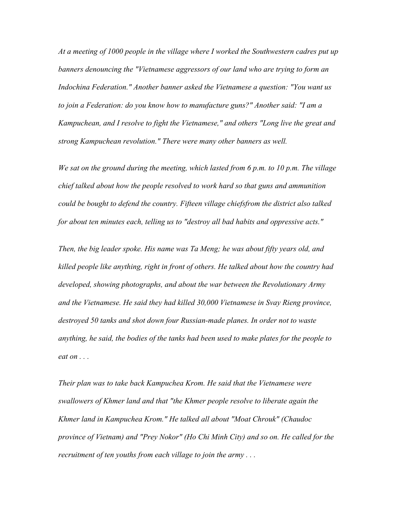*At a meeting of 1000 people in the village where I worked the Southwestern cadres put up banners denouncing the "Vietnamese aggressors of our land who are trying to form an Indochina Federation." Another banner asked the Vietnamese a question: "You want us to join a Federation: do you know how to manufacture guns?" Another said: "I am a Kampuchean, and I resolve to fight the Vietnamese," and others "Long live the great and strong Kampuchean revolution." There were many other banners as well.*

*We sat on the ground during the meeting, which lasted from 6 p.m. to 10 p.m. The village chief talked about how the people resolved to work hard so that guns and ammunition could be bought to defend the country. Fifteen village chiefsfrom the district also talked for about ten minutes each, telling us to "destroy all bad habits and oppressive acts."*

*Then, the big leader spoke. His name was Ta Meng; he was about fifty years old, and killed people like anything, right in front of others. He talked about how the country had developed, showing photographs, and about the war between the Revolutionary Army and the Vietnamese. He said they had killed 30,000 Vietnamese in Svay Rieng province, destroyed 50 tanks and shot down four Russian-made planes. In order not to waste anything, he said, the bodies of the tanks had been used to make plates for the people to eat on . . .*

*Their plan was to take back Kampuchea Krom. He said that the Vietnamese were swallowers of Khmer land and that "the Khmer people resolve to liberate again the Khmer land in Kampuchea Krom." He talked all about "Moat Chrouk" (Chaudoc province of Vietnam) and "Prey Nokor" (Ho Chi Minh City) and so on. He called for the recruitment of ten youths from each village to join the army . . .*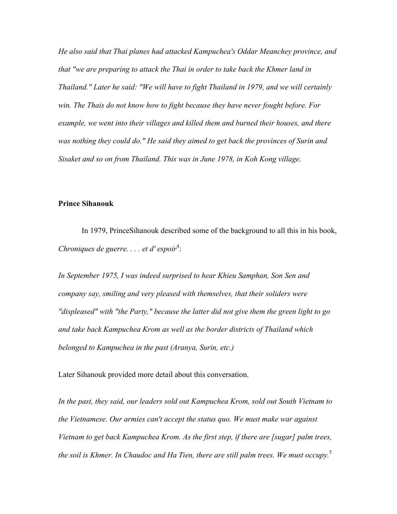*He also said that Thai planes had attacked Kampuchea's Oddar Meanchey province, and that "we are preparing to attack the Thai in order to take back the Khmer land in Thailand." Later he said: "We will have to fight Thailand in 1979, and we will certainly win. The Thais do not know how to fight because they have never fought before. For example, we went into their villages and killed them and burned their houses, and there was nothing they could do." He said they aimed to get back the provinces of Surin and Sisaket and so on from Thailand. This was in June 1978, in Koh Kong village.*

# **Prince Sihanouk**

In 1979, PrinceSihanouk described some of the background to all this in his book, Chroniques de guerre. . . . et d' espoir<sup>4</sup>:

*In September 1975, I was indeed surprised to hear Khieu Samphan, Son Sen and company say, smiling and very pleased with themselves, that their soliders were "displeased" with "the Party," because the latter did not give them the green light to go and take back Kampuchea Krom as well as the border districts of Thailand which belonged to Kampuchea in the past (Aranya, Surin, etc.)*

Later Sihanouk provided more detail about this conversation.

*In the past, they said, our leaders sold out Kampuchea Krom, sold out South Vietnam to the Vietnamese. Our armies can't accept the status quo. We must make war against Vietnam to get back Kampuchea Krom. As the first step, if there are [sugar] palm trees, the soil is Khmer. In Chaudoc and Ha Tien, there are still palm trees. We must occupy.*<sup>5</sup>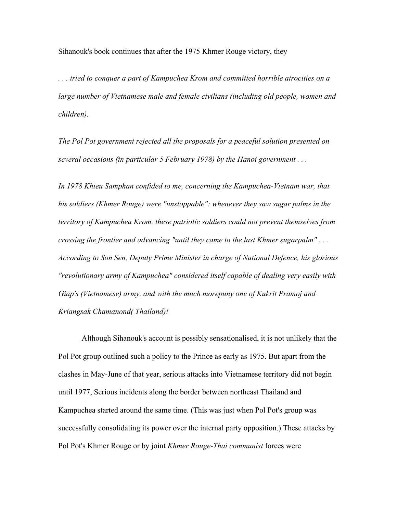Sihanouk's book continues that after the 1975 Khmer Rouge victory, they

*. . . tried to conquer a part of Kampuchea Krom and committed horrible atrocities on a large number of Vietnamese male and female civilians (including old people, women and children).*

*The Pol Pot government rejected all the proposals for a peaceful solution presented on several occasions (in particular 5 February 1978) by the Hanoi government . . .*

*In 1978 Khieu Samphan confided to me, concerning the Kampuchea-Vietnam war, that his soldiers (Khmer Rouge) were "unstoppable": whenever they saw sugar palms in the territory of Kampuchea Krom, these patriotic soldiers could not prevent themselves from crossing the frontier and advancing "until they came to the last Khmer sugarpalm" . . . According to Son Sen, Deputy Prime Minister in charge of National Defence, his glorious "revolutionary army of Kampuchea" considered itself capable of dealing very easily with Giap's (Vietnamese) army, and with the much morepuny one of Kukrit Pramoj and Kriangsak Chamanond( Thailand)!*

Although Sihanouk's account is possibly sensationalised, it is not unlikely that the Pol Pot group outlined such a policy to the Prince as early as 1975. But apart from the clashes in May-June of that year, serious attacks into Vietnamese territory did not begin until 1977, Serious incidents along the border between northeast Thailand and Kampuchea started around the same time. (This was just when Pol Pot's group was successfully consolidating its power over the internal party opposition.) These attacks by Pol Pot's Khmer Rouge or by joint *Khmer Rouge-Thai communist* forces were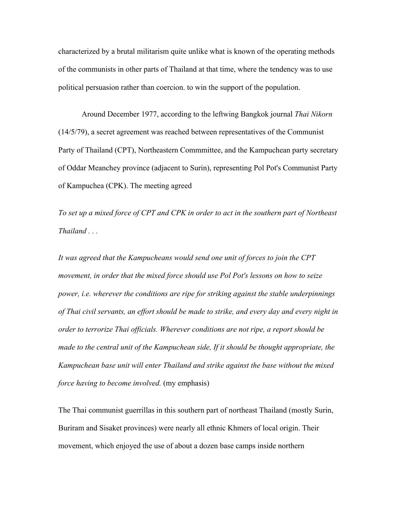characterized by a brutal militarism quite unlike what is known of the operating methods of the communists in other parts of Thailand at that time, where the tendency was to use political persuasion rather than coercion. to win the support of the population.

Around December 1977, according to the leftwing Bangkok journal *Thai Nikorn* (14/5/79), a secret agreement was reached between representatives of the Communist Party of Thailand (CPT), Northeastern Commmittee, and the Kampuchean party secretary of Oddar Meanchey province (adjacent to Surin), representing Pol Pot's Communist Party of Kampuchea (CPK). The meeting agreed

*To set up a mixed force of CPT and CPK in order to act in the southern part of Northeast Thailand . . .*

*It was agreed that the Kampucheans would send one unit of forces to join the CPT movement, in order that the mixed force should use Pol Pot's lessons on how to seize power, i.e. wherever the conditions are ripe for striking against the stable underpinnings of Thai civil servants, an effort should be made to strike, and every day and every night in order to terrorize Thai officials. Wherever conditions are not ripe, a report should be made to the central unit of the Kampuchean side, If it should be thought appropriate, the Kampuchean base unit will enter Thailand and strike against the base without the mixed force having to become involved.* (my emphasis)

The Thai communist guerrillas in this southern part of northeast Thailand (mostly Surin, Buriram and Sisaket provinces) were nearly all ethnic Khmers of local origin. Their movement, which enjoyed the use of about a dozen base camps inside northern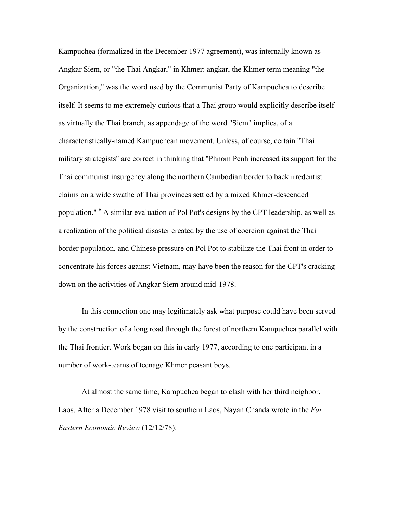Kampuchea (formalized in the December 1977 agreement), was internally known as Angkar Siem, or "the Thai Angkar," in Khmer: angkar, the Khmer term meaning "the Organization," was the word used by the Communist Party of Kampuchea to describe itself. It seems to me extremely curious that a Thai group would explicitly describe itself as virtually the Thai branch, as appendage of the word "Siem" implies, of a characteristically-named Kampuchean movement. Unless, of course, certain "Thai military strategists" are correct in thinking that "Phnom Penh increased its support for the Thai communist insurgency along the northern Cambodian border to back irredentist claims on a wide swathe of Thai provinces settled by a mixed Khmer-descended population." <sup>6</sup> A similar evaluation of Pol Pot's designs by the CPT leadership, as well as a realization of the political disaster created by the use of coercion against the Thai border population, and Chinese pressure on Pol Pot to stabilize the Thai front in order to concentrate his forces against Vietnam, may have been the reason for the CPT's cracking down on the activities of Angkar Siem around mid-1978.

In this connection one may legitimately ask what purpose could have been served by the construction of a long road through the forest of northern Kampuchea parallel with the Thai frontier. Work began on this in early 1977, according to one participant in a number of work-teams of teenage Khmer peasant boys.

At almost the same time, Kampuchea began to clash with her third neighbor, Laos. After a December 1978 visit to southern Laos, Nayan Chanda wrote in the *Far Eastern Economic Review* (12/12/78):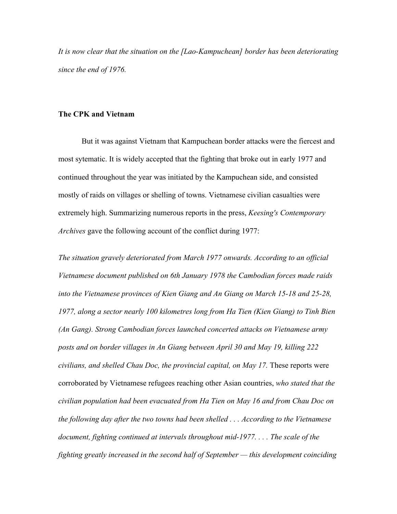*It is now clear that the situation on the [Lao-Kampuchean] border has been deteriorating since the end of 1976.*

# **The CPK and Vietnam**

But it was against Vietnam that Kampuchean border attacks were the fiercest and most sytematic. It is widely accepted that the fighting that broke out in early 1977 and continued throughout the year was initiated by the Kampuchean side, and consisted mostly of raids on villages or shelling of towns. Vietnamese civilian casualties were extremely high. Summarizing numerous reports in the press, *Keesing's Contemporary Archives* gave the following account of the conflict during 1977:

*The situation gravely deteriorated from March 1977 onwards. According to an official Vietnamese document published on 6th January 1978 the Cambodian forces made raids into the Vietnamese provinces of Kien Giang and An Giang on March 15-18 and 25-28, 1977, along a sector nearly 100 kilometres long from Ha Tien (Kien Giang) to Tinh Bien (An Gang). Strong Cambodian forces launched concerted attacks on Vietnamese army posts and on border villages in An Giang between April 30 and May 19, killing 222 civilians, and shelled Chau Doc, the provincial capital, on May 17.* These reports were corroborated by Vietnamese refugees reaching other Asian countries, *who stated that the civilian population had been evacuated from Ha Tien on May 16 and from Chau Doc on the following day after the two towns had been shelled . . . According to the Vietnamese document, fighting continued at intervals throughout mid-1977. . . . The scale of the fighting greatly increased in the second half of September — this development coinciding*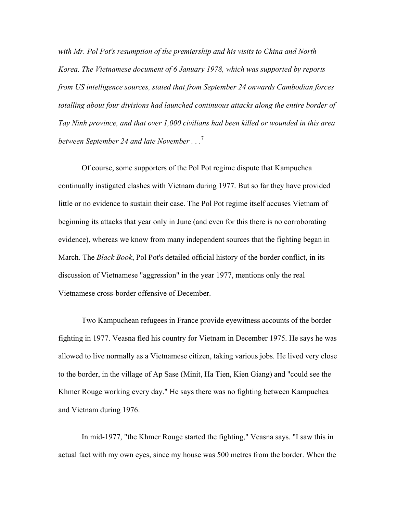*with Mr. Pol Pot's resumption of the premiership and his visits to China and North Korea. The Vietnamese document of 6 January 1978, which was supported by reports from US intelligence sources, stated that from September 24 onwards Cambodian forces totalling about four divisions had launched continuous attacks along the entire border of Tay Ninh province, and that over 1,000 civilians had been killed or wounded in this area between September 24 and late November . . .*<sup>7</sup>

Of course, some supporters of the Pol Pot regime dispute that Kampuchea continually instigated clashes with Vietnam during 1977. But so far they have provided little or no evidence to sustain their case. The Pol Pot regime itself accuses Vietnam of beginning its attacks that year only in June (and even for this there is no corroborating evidence), whereas we know from many independent sources that the fighting began in March. The *Black Book*, Pol Pot's detailed official history of the border conflict, in its discussion of Vietnamese "aggression" in the year 1977, mentions only the real Vietnamese cross-border offensive of December.

Two Kampuchean refugees in France provide eyewitness accounts of the border fighting in 1977. Veasna fled his country for Vietnam in December 1975. He says he was allowed to live normally as a Vietnamese citizen, taking various jobs. He lived very close to the border, in the village of Ap Sase (Minit, Ha Tien, Kien Giang) and "could see the Khmer Rouge working every day." He says there was no fighting between Kampuchea and Vietnam during 1976.

In mid-1977, "the Khmer Rouge started the fighting," Veasna says. "I saw this in actual fact with my own eyes, since my house was 500 metres from the border. When the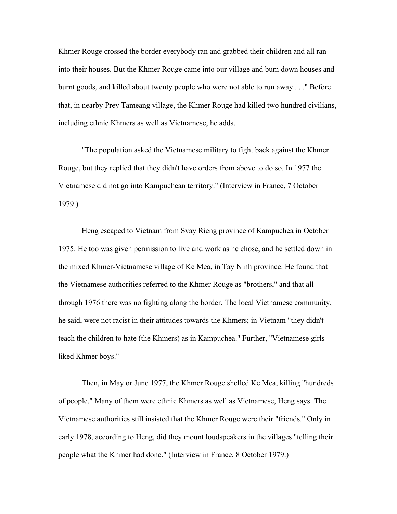Khmer Rouge crossed the border everybody ran and grabbed their children and all ran into their houses. But the Khmer Rouge came into our village and bum down houses and burnt goods, and killed about twenty people who were not able to run away . . ." Before that, in nearby Prey Tameang village, the Khmer Rouge had killed two hundred civilians, including ethnic Khmers as well as Vietnamese, he adds.

"The population asked the Vietnamese military to fight back against the Khmer Rouge, but they replied that they didn't have orders from above to do so. In 1977 the Vietnamese did not go into Kampuchean territory." (Interview in France, 7 October 1979.)

Heng escaped to Vietnam from Svay Rieng province of Kampuchea in October 1975. He too was given permission to live and work as he chose, and he settled down in the mixed Khmer-Vietnamese village of Ke Mea, in Tay Ninh province. He found that the Vietnamese authorities referred to the Khmer Rouge as "brothers," and that all through 1976 there was no fighting along the border. The local Vietnamese community, he said, were not racist in their attitudes towards the Khmers; in Vietnam "they didn't teach the children to hate (the Khmers) as in Kampuchea." Further, "Vietnamese girls liked Khmer boys."

Then, in May or June 1977, the Khmer Rouge shelled Ke Mea, killing "hundreds of people." Many of them were ethnic Khmers as well as Vietnamese, Heng says. The Vietnamese authorities still insisted that the Khmer Rouge were their "friends." Only in early 1978, according to Heng, did they mount loudspeakers in the villages "telling their people what the Khmer had done." (Interview in France, 8 October 1979.)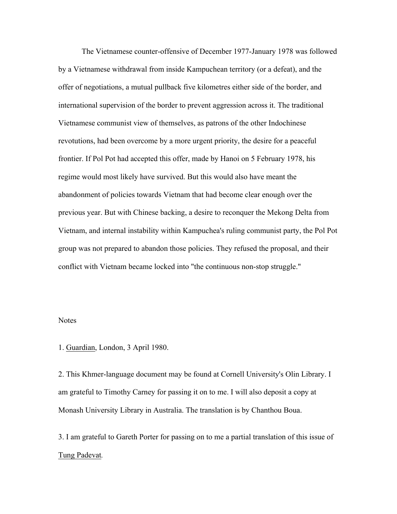The Vietnamese counter-offensive of December 1977-January 1978 was followed by a Vietnamese withdrawal from inside Kampuchean territory (or a defeat), and the offer of negotiations, a mutual pullback five kilometres either side of the border, and international supervision of the border to prevent aggression across it. The traditional Vietnamese communist view of themselves, as patrons of the other Indochinese revotutions, had been overcome by a more urgent priority, the desire for a peaceful frontier. If Pol Pot had accepted this offer, made by Hanoi on 5 February 1978, his regime would most likely have survived. But this would also have meant the abandonment of policies towards Vietnam that had become clear enough over the previous year. But with Chinese backing, a desire to reconquer the Mekong Delta from Vietnam, and internal instability within Kampuchea's ruling communist party, the Pol Pot group was not prepared to abandon those policies. They refused the proposal, and their conflict with Vietnam became locked into "the continuous non-stop struggle."

## **Notes**

1. Guardian, London, 3 April 1980.

2. This Khmer-language document may be found at Cornell University's Olin Library. I am grateful to Timothy Carney for passing it on to me. I will also deposit a copy at Monash University Library in Australia. The translation is by Chanthou Boua.

3. I am grateful to Gareth Porter for passing on to me a partial translation of this issue of Tung Padevat*.*